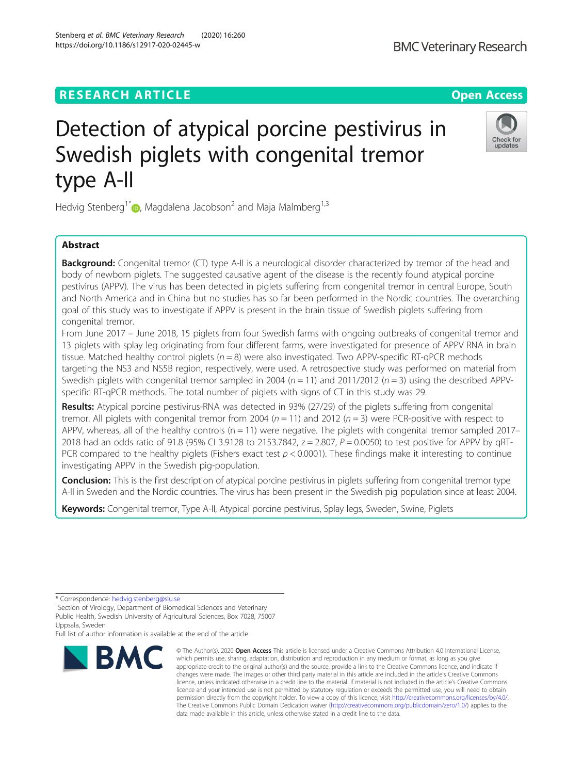## **RESEARCH ARTICLE Example 2014 CONSIDERING A RESEARCH ARTICLE**

https://doi.org/10.1186/s12917-020-02445-w

# Detection of atypical porcine pestivirus in Swedish piglets with congenital tremor type A-II

Hedvig Stenberg<sup>1[\\*](http://orcid.org/0000-0003-0444-4453)</sup>  $\bullet$ , Magdalena Jacobson<sup>2</sup> and Maja Malmberg<sup>1,3</sup>

## Abstract

**Background:** Congenital tremor (CT) type A-II is a neurological disorder characterized by tremor of the head and body of newborn piglets. The suggested causative agent of the disease is the recently found atypical porcine pestivirus (APPV). The virus has been detected in piglets suffering from congenital tremor in central Europe, South and North America and in China but no studies has so far been performed in the Nordic countries. The overarching goal of this study was to investigate if APPV is present in the brain tissue of Swedish piglets suffering from congenital tremor.

From June 2017 – June 2018, 15 piglets from four Swedish farms with ongoing outbreaks of congenital tremor and 13 piglets with splay leg originating from four different farms, were investigated for presence of APPV RNA in brain tissue. Matched healthy control piglets ( $n = 8$ ) were also investigated. Two APPV-specific RT-qPCR methods targeting the NS3 and NS5B region, respectively, were used. A retrospective study was performed on material from Swedish piglets with congenital tremor sampled in 2004 ( $n = 11$ ) and 2011/2012 ( $n = 3$ ) using the described APPVspecific RT-qPCR methods. The total number of piglets with signs of CT in this study was 29.

Results: Atypical porcine pestivirus-RNA was detected in 93% (27/29) of the piglets suffering from congenital tremor. All piglets with congenital tremor from 2004 ( $n = 11$ ) and 2012 ( $n = 3$ ) were PCR-positive with respect to APPV, whereas, all of the healthy controls ( $n = 11$ ) were negative. The piglets with congenital tremor sampled 2017– 2018 had an odds ratio of 91.8 (95% CI 3.9128 to 2153.7842,  $z = 2.807$ ,  $P = 0.0050$ ) to test positive for APPV by qRT-PCR compared to the healthy piglets (Fishers exact test  $p < 0.0001$ ). These findings make it interesting to continue investigating APPV in the Swedish pig-population.

Conclusion: This is the first description of atypical porcine pestivirus in piglets suffering from congenital tremor type A-II in Sweden and the Nordic countries. The virus has been present in the Swedish pig population since at least 2004.

Keywords: Congenital tremor, Type A-II, Atypical porcine pestivirus, Splay legs, Sweden, Swine, Piglets

Full list of author information is available at the end of the article



<sup>©</sup> The Author(s), 2020 **Open Access** This article is licensed under a Creative Commons Attribution 4.0 International License, which permits use, sharing, adaptation, distribution and reproduction in any medium or format, as long as you give appropriate credit to the original author(s) and the source, provide a link to the Creative Commons licence, and indicate if changes were made. The images or other third party material in this article are included in the article's Creative Commons licence, unless indicated otherwise in a credit line to the material. If material is not included in the article's Creative Commons licence and your intended use is not permitted by statutory regulation or exceeds the permitted use, you will need to obtain permission directly from the copyright holder. To view a copy of this licence, visit [http://creativecommons.org/licenses/by/4.0/.](http://creativecommons.org/licenses/by/4.0/) The Creative Commons Public Domain Dedication waiver [\(http://creativecommons.org/publicdomain/zero/1.0/](http://creativecommons.org/publicdomain/zero/1.0/)) applies to the data made available in this article, unless otherwise stated in a credit line to the data.





<sup>\*</sup> Correspondence: [hedvig.stenberg@slu.se](mailto:hedvig.stenberg@slu.se) <sup>1</sup>

<sup>&</sup>lt;sup>1</sup>Section of Virology, Department of Biomedical Sciences and Veterinary Public Health, Swedish University of Agricultural Sciences, Box 7028, 75007 Uppsala, Sweden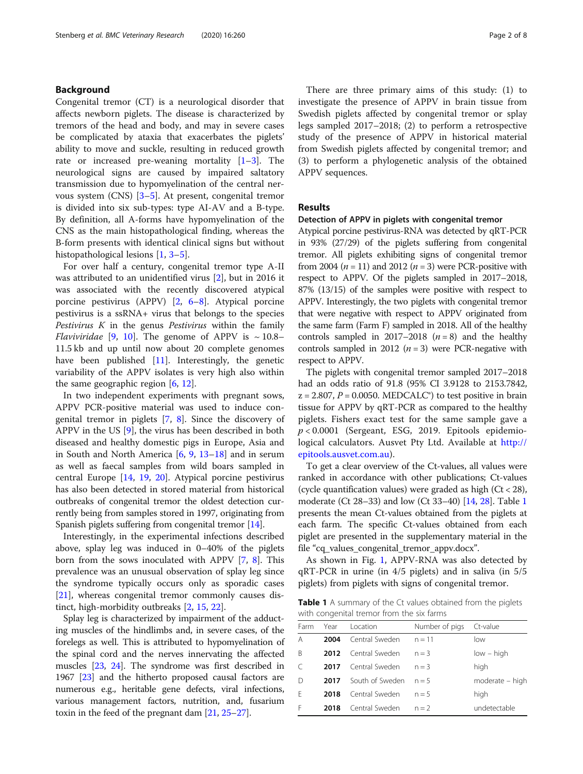## Background

Congenital tremor (CT) is a neurological disorder that affects newborn piglets. The disease is characterized by tremors of the head and body, and may in severe cases be complicated by ataxia that exacerbates the piglets' ability to move and suckle, resulting in reduced growth rate or increased pre-weaning mortality [\[1](#page-6-0)–[3\]](#page-6-0). The neurological signs are caused by impaired saltatory transmission due to hypomyelination of the central nervous system (CNS) [\[3](#page-6-0)–[5](#page-6-0)]. At present, congenital tremor is divided into six sub-types: type AI-AV and a B-type. By definition, all A-forms have hypomyelination of the CNS as the main histopathological finding, whereas the B-form presents with identical clinical signs but without histopathological lesions [[1,](#page-6-0) [3](#page-6-0)–[5\]](#page-6-0).

For over half a century, congenital tremor type A-II was attributed to an unidentified virus [[2\]](#page-6-0), but in 2016 it was associated with the recently discovered atypical porcine pestivirus (APPV) [\[2](#page-6-0), [6](#page-6-0)–[8](#page-6-0)]. Atypical porcine pestivirus is a ssRNA+ virus that belongs to the species Pestivirus  $K$  in the genus Pestivirus within the family *Flaviviridae* [[9,](#page-6-0) [10\]](#page-6-0). The genome of APPV is  $\sim$  10.8– 11.5 kb and up until now about 20 complete genomes have been published [[11\]](#page-6-0). Interestingly, the genetic variability of the APPV isolates is very high also within the same geographic region [[6,](#page-6-0) [12](#page-6-0)].

In two independent experiments with pregnant sows, APPV PCR-positive material was used to induce congenital tremor in piglets [[7,](#page-6-0) [8](#page-6-0)]. Since the discovery of APPV in the US [\[9](#page-6-0)], the virus has been described in both diseased and healthy domestic pigs in Europe, Asia and in South and North America [[6,](#page-6-0) [9](#page-6-0), [13](#page-6-0)–[18](#page-6-0)] and in serum as well as faecal samples from wild boars sampled in central Europe [[14,](#page-6-0) [19](#page-6-0), [20\]](#page-6-0). Atypical porcine pestivirus has also been detected in stored material from historical outbreaks of congenital tremor the oldest detection currently being from samples stored in 1997, originating from Spanish piglets suffering from congenital tremor [[14](#page-6-0)].

Interestingly, in the experimental infections described above, splay leg was induced in 0–40% of the piglets born from the sows inoculated with APPV [[7](#page-6-0), [8\]](#page-6-0). This prevalence was an unusual observation of splay leg since the syndrome typically occurs only as sporadic cases [[21\]](#page-6-0), whereas congenital tremor commonly causes distinct, high-morbidity outbreaks [[2,](#page-6-0) [15,](#page-6-0) [22\]](#page-6-0).

Splay leg is characterized by impairment of the adducting muscles of the hindlimbs and, in severe cases, of the forelegs as well. This is attributed to hypomyelination of the spinal cord and the nerves innervating the affected muscles [[23](#page-6-0), [24](#page-6-0)]. The syndrome was first described in 1967 [\[23\]](#page-6-0) and the hitherto proposed causal factors are numerous e.g., heritable gene defects, viral infections, various management factors, nutrition, and, fusarium toxin in the feed of the pregnant dam [\[21,](#page-6-0) [25](#page-6-0)–[27\]](#page-6-0).

There are three primary aims of this study: (1) to investigate the presence of APPV in brain tissue from Swedish piglets affected by congenital tremor or splay legs sampled 2017–2018; (2) to perform a retrospective study of the presence of APPV in historical material from Swedish piglets affected by congenital tremor; and (3) to perform a phylogenetic analysis of the obtained APPV sequences.

## Results

## Detection of APPV in piglets with congenital tremor

Atypical porcine pestivirus-RNA was detected by qRT-PCR in 93% (27/29) of the piglets suffering from congenital tremor. All piglets exhibiting signs of congenital tremor from 2004 ( $n = 11$ ) and 2012 ( $n = 3$ ) were PCR-positive with respect to APPV. Of the piglets sampled in 2017–2018, 87% (13/15) of the samples were positive with respect to APPV. Interestingly, the two piglets with congenital tremor that were negative with respect to APPV originated from the same farm (Farm F) sampled in 2018. All of the healthy controls sampled in 2017–2018  $(n = 8)$  and the healthy controls sampled in 2012 ( $n = 3$ ) were PCR-negative with respect to APPV.

The piglets with congenital tremor sampled 2017–2018 had an odds ratio of 91.8 (95% CI 3.9128 to 2153.7842,  $z = 2.807$ ,  $P = 0.0050$ . MEDCALC<sup>®</sup>) to test positive in brain tissue for APPV by qRT-PCR as compared to the healthy piglets. Fishers exact test for the same sample gave a  $p < 0.0001$  (Sergeant, ESG, 2019. Epitools epidemiological calculators. Ausvet Pty Ltd. Available at [http://](http://epitools.ausvet.com.au) [epitools.ausvet.com.au](http://epitools.ausvet.com.au)).

To get a clear overview of the Ct-values, all values were ranked in accordance with other publications; Ct-values (cycle quantification values) were graded as high  $(Ct < 28)$ , moderate (Ct 28–33) and low (Ct 33–40) [\[14,](#page-6-0) [28](#page-6-0)]. Table 1 presents the mean Ct-values obtained from the piglets at each farm. The specific Ct-values obtained from each piglet are presented in the supplementary material in the file "cq\_values\_congenital\_tremor\_appv.docx".

As shown in Fig. [1](#page-2-0), APPV-RNA was also detected by qRT-PCR in urine (in 4/5 piglets) and in saliva (in 5/5 piglets) from piglets with signs of congenital tremor.

Table 1 A summary of the Ct values obtained from the piglets with congenital tremor from the six farms

| Farm | Year | Location        | Number of pigs | Ct-value        |
|------|------|-----------------|----------------|-----------------|
| A    | 2004 | Central Sweden  | $n = 11$       | low             |
| B    | 2012 | Central Sweden  | $n = 3$        | $low - high$    |
| C    | 2017 | Central Sweden  | $n = 3$        | high            |
| D    | 2017 | South of Sweden | $n = 5$        | moderate - high |
| F    | 2018 | Central Sweden  | $n = 5$        | high            |
| F    | 2018 | Central Sweden  | $n = 2$        | undetectable    |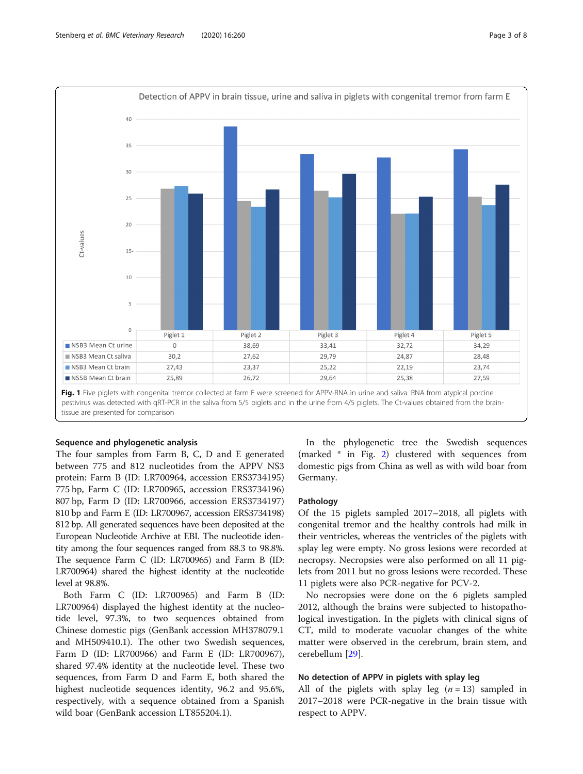<span id="page-2-0"></span>

Fig. 1 Five piglets with congenital tremor collected at farm E were screened for APPV-RNA in urine and saliva. RNA from atypical porcine pestivirus was detected with qRT-PCR in the saliva from 5/5 piglets and in the urine from 4/5 piglets. The Ct-values obtained from the braintissue are presented for comparison

## Sequence and phylogenetic analysis

The four samples from Farm B, C, D and E generated between 775 and 812 nucleotides from the APPV NS3 protein: Farm B (ID: LR700964, accession ERS3734195) 775 bp, Farm C (ID: LR700965, accession ERS3734196) 807 bp, Farm D (ID: LR700966, accession ERS3734197) 810 bp and Farm E (ID: LR700967, accession ERS3734198) 812 bp. All generated sequences have been deposited at the European Nucleotide Archive at EBI. The nucleotide identity among the four sequences ranged from 88.3 to 98.8%. The sequence Farm C (ID: LR700965) and Farm B (ID: LR700964) shared the highest identity at the nucleotide level at 98.8%.

Both Farm C (ID: LR700965) and Farm B (ID: LR700964) displayed the highest identity at the nucleotide level, 97.3%, to two sequences obtained from Chinese domestic pigs (GenBank accession MH378079.1 and MH509410.1). The other two Swedish sequences, Farm D (ID: LR700966) and Farm E (ID: LR700967), shared 97.4% identity at the nucleotide level. These two sequences, from Farm D and Farm E, both shared the highest nucleotide sequences identity, 96.2 and 95.6%, respectively, with a sequence obtained from a Spanish wild boar (GenBank accession LT855204.1).

In the phylogenetic tree the Swedish sequences (marked \* in Fig. [2\)](#page-3-0) clustered with sequences from domestic pigs from China as well as with wild boar from Germany.

## Pathology

Of the 15 piglets sampled 2017–2018, all piglets with congenital tremor and the healthy controls had milk in their ventricles, whereas the ventricles of the piglets with splay leg were empty. No gross lesions were recorded at necropsy. Necropsies were also performed on all 11 piglets from 2011 but no gross lesions were recorded. These 11 piglets were also PCR-negative for PCV-2.

No necropsies were done on the 6 piglets sampled 2012, although the brains were subjected to histopathological investigation. In the piglets with clinical signs of CT, mild to moderate vacuolar changes of the white matter were observed in the cerebrum, brain stem, and cerebellum [[29\]](#page-6-0).

### No detection of APPV in piglets with splay leg

All of the piglets with splay leg  $(n = 13)$  sampled in 2017–2018 were PCR-negative in the brain tissue with respect to APPV.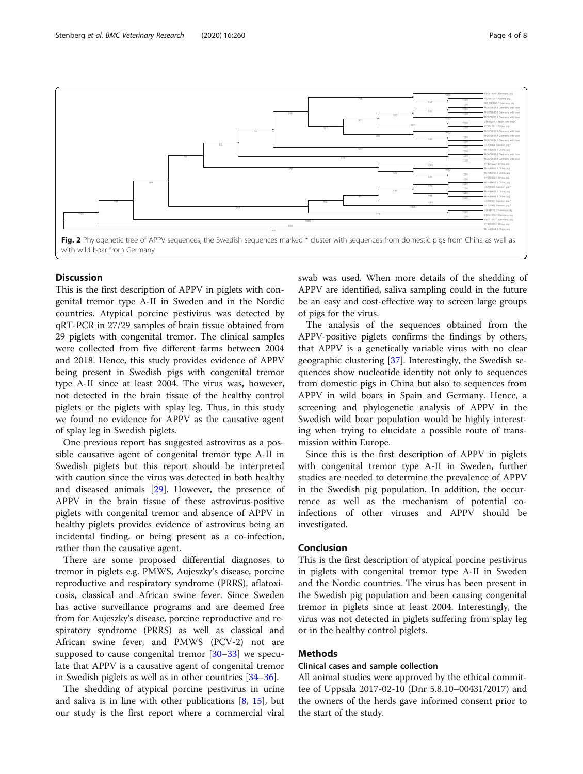<span id="page-3-0"></span>

## **Discussion**

This is the first description of APPV in piglets with congenital tremor type A-II in Sweden and in the Nordic countries. Atypical porcine pestivirus was detected by qRT-PCR in 27/29 samples of brain tissue obtained from 29 piglets with congenital tremor. The clinical samples were collected from five different farms between 2004 and 2018. Hence, this study provides evidence of APPV being present in Swedish pigs with congenital tremor type A-II since at least 2004. The virus was, however, not detected in the brain tissue of the healthy control piglets or the piglets with splay leg. Thus, in this study we found no evidence for APPV as the causative agent of splay leg in Swedish piglets.

One previous report has suggested astrovirus as a possible causative agent of congenital tremor type A-II in Swedish piglets but this report should be interpreted with caution since the virus was detected in both healthy and diseased animals [\[29](#page-6-0)]. However, the presence of APPV in the brain tissue of these astrovirus-positive piglets with congenital tremor and absence of APPV in healthy piglets provides evidence of astrovirus being an incidental finding, or being present as a co-infection, rather than the causative agent.

There are some proposed differential diagnoses to tremor in piglets e.g. PMWS, Aujeszky's disease, porcine reproductive and respiratory syndrome (PRRS), aflatoxicosis, classical and African swine fever. Since Sweden has active surveillance programs and are deemed free from for Aujeszky's disease, porcine reproductive and respiratory syndrome (PRRS) as well as classical and African swine fever, and PMWS (PCV-2) not are supposed to cause congenital tremor [[30](#page-6-0)–[33](#page-6-0)] we speculate that APPV is a causative agent of congenital tremor in Swedish piglets as well as in other countries [\[34](#page-6-0)–[36\]](#page-6-0).

The shedding of atypical porcine pestivirus in urine and saliva is in line with other publications  $[8, 15]$  $[8, 15]$  $[8, 15]$  $[8, 15]$ , but our study is the first report where a commercial viral

swab was used. When more details of the shedding of APPV are identified, saliva sampling could in the future be an easy and cost-effective way to screen large groups of pigs for the virus.

The analysis of the sequences obtained from the APPV-positive piglets confirms the findings by others, that APPV is a genetically variable virus with no clear geographic clustering [\[37\]](#page-7-0). Interestingly, the Swedish sequences show nucleotide identity not only to sequences from domestic pigs in China but also to sequences from APPV in wild boars in Spain and Germany. Hence, a screening and phylogenetic analysis of APPV in the Swedish wild boar population would be highly interesting when trying to elucidate a possible route of transmission within Europe.

Since this is the first description of APPV in piglets with congenital tremor type A-II in Sweden, further studies are needed to determine the prevalence of APPV in the Swedish pig population. In addition, the occurrence as well as the mechanism of potential coinfections of other viruses and APPV should be investigated.

## Conclusion

This is the first description of atypical porcine pestivirus in piglets with congenital tremor type A-II in Sweden and the Nordic countries. The virus has been present in the Swedish pig population and been causing congenital tremor in piglets since at least 2004. Interestingly, the virus was not detected in piglets suffering from splay leg or in the healthy control piglets.

## Methods

## Clinical cases and sample collection

All animal studies were approved by the ethical committee of Uppsala 2017-02-10 (Dnr 5.8.10–00431/2017) and the owners of the herds gave informed consent prior to the start of the study.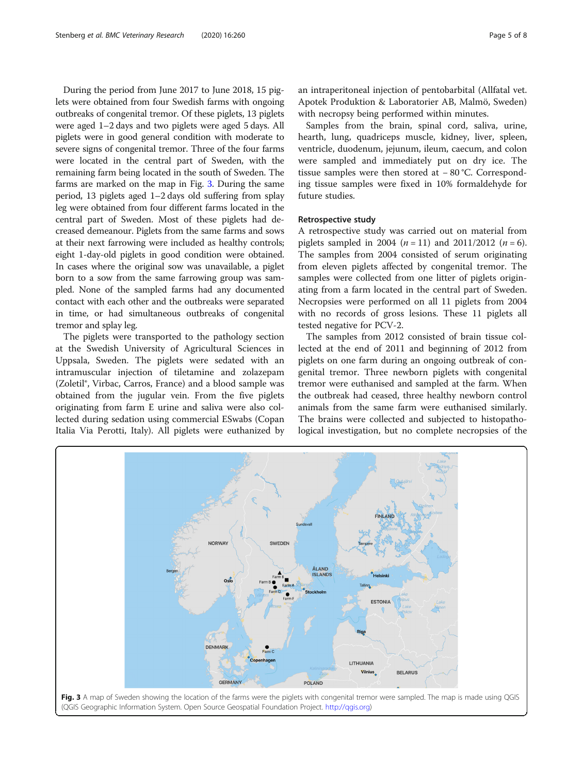During the period from June 2017 to June 2018, 15 piglets were obtained from four Swedish farms with ongoing outbreaks of congenital tremor. Of these piglets, 13 piglets were aged 1–2 days and two piglets were aged 5 days. All piglets were in good general condition with moderate to severe signs of congenital tremor. Three of the four farms were located in the central part of Sweden, with the remaining farm being located in the south of Sweden. The farms are marked on the map in Fig. 3. During the same period, 13 piglets aged 1–2 days old suffering from splay leg were obtained from four different farms located in the central part of Sweden. Most of these piglets had decreased demeanour. Piglets from the same farms and sows at their next farrowing were included as healthy controls; eight 1-day-old piglets in good condition were obtained. In cases where the original sow was unavailable, a piglet born to a sow from the same farrowing group was sampled. None of the sampled farms had any documented contact with each other and the outbreaks were separated in time, or had simultaneous outbreaks of congenital tremor and splay leg.

The piglets were transported to the pathology section at the Swedish University of Agricultural Sciences in Uppsala, Sweden. The piglets were sedated with an intramuscular injection of tiletamine and zolazepam (Zoletil®, Virbac, Carros, France) and a blood sample was obtained from the jugular vein. From the five piglets originating from farm E urine and saliva were also collected during sedation using commercial ESwabs (Copan Italia Via Perotti, Italy). All piglets were euthanized by an intraperitoneal injection of pentobarbital (Allfatal vet. Apotek Produktion & Laboratorier AB, Malmö, Sweden) with necropsy being performed within minutes.

Samples from the brain, spinal cord, saliva, urine, hearth, lung, quadriceps muscle, kidney, liver, spleen, ventricle, duodenum, jejunum, ileum, caecum, and colon were sampled and immediately put on dry ice. The tissue samples were then stored at − 80 °C. Corresponding tissue samples were fixed in 10% formaldehyde for future studies.

#### Retrospective study

A retrospective study was carried out on material from piglets sampled in 2004 ( $n = 11$ ) and 2011/2012 ( $n = 6$ ). The samples from 2004 consisted of serum originating from eleven piglets affected by congenital tremor. The samples were collected from one litter of piglets originating from a farm located in the central part of Sweden. Necropsies were performed on all 11 piglets from 2004 with no records of gross lesions. These 11 piglets all tested negative for PCV-2.

The samples from 2012 consisted of brain tissue collected at the end of 2011 and beginning of 2012 from piglets on one farm during an ongoing outbreak of congenital tremor. Three newborn piglets with congenital tremor were euthanised and sampled at the farm. When the outbreak had ceased, three healthy newborn control animals from the same farm were euthanised similarly. The brains were collected and subjected to histopathological investigation, but no complete necropsies of the

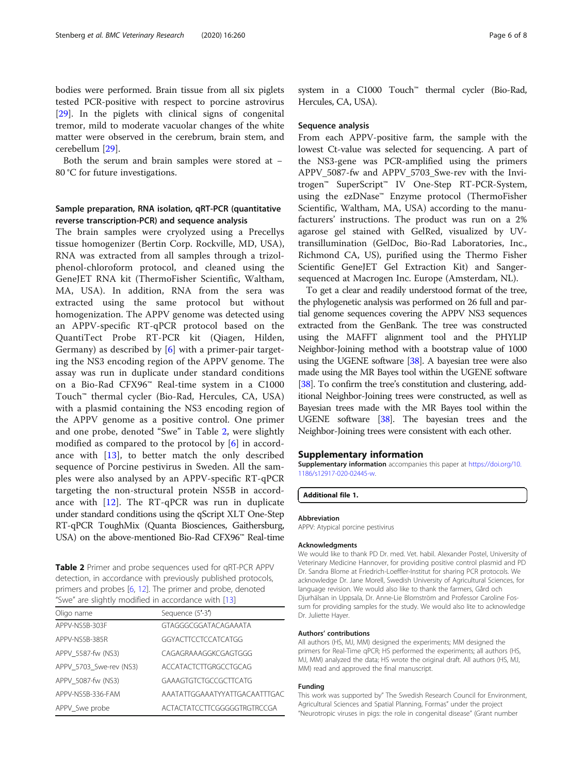bodies were performed. Brain tissue from all six piglets tested PCR-positive with respect to porcine astrovirus [[29\]](#page-6-0). In the piglets with clinical signs of congenital tremor, mild to moderate vacuolar changes of the white matter were observed in the cerebrum, brain stem, and cerebellum [[29\]](#page-6-0).

Both the serum and brain samples were stored at − 80 °C for future investigations.

## Sample preparation, RNA isolation, qRT-PCR (quantitative reverse transcription-PCR) and sequence analysis

The brain samples were cryolyzed using a Precellys tissue homogenizer (Bertin Corp. Rockville, MD, USA), RNA was extracted from all samples through a trizolphenol-chloroform protocol, and cleaned using the GeneJET RNA kit (ThermoFisher Scientific, Waltham, MA, USA). In addition, RNA from the sera was extracted using the same protocol but without homogenization. The APPV genome was detected using an APPV-specific RT-qPCR protocol based on the QuantiTect Probe RT-PCR kit (Qiagen, Hilden, Germany) as described by [\[6](#page-6-0)] with a primer-pair targeting the NS3 encoding region of the APPV genome. The assay was run in duplicate under standard conditions on a Bio-Rad CFX96™ Real-time system in a C1000 Touch™ thermal cycler (Bio-Rad, Hercules, CA, USA) with a plasmid containing the NS3 encoding region of the APPV genome as a positive control. One primer and one probe, denoted "Swe" in Table 2, were slightly modified as compared to the protocol by [\[6](#page-6-0)] in accordance with  $[13]$  $[13]$ , to better match the only described sequence of Porcine pestivirus in Sweden. All the samples were also analysed by an APPV-specific RT-qPCR targeting the non-structural protein NS5B in accordance with [\[12](#page-6-0)]. The RT-qPCR was run in duplicate under standard conditions using the qScript XLT One-Step RT-qPCR ToughMix (Quanta Biosciences, Gaithersburg, USA) on the above-mentioned Bio-Rad CFX96™ Real-time

Table 2 Primer and probe sequences used for qRT-PCR APPV detection, in accordance with previously published protocols, primers and probes [\[6,](#page-6-0) [12\]](#page-6-0). The primer and probe, denoted "Swe" are slightly modified in accordance with [\[13\]](#page-6-0)

| Oligo name              | Sequence (5'-3')              |  |
|-------------------------|-------------------------------|--|
| APPV-NS5B-303F          | GTAGGGCGGATACAGAAATA          |  |
| APPV-NS5B-385R          | GGYACTTCCTCCATCATGG           |  |
| APPV 5587-fw (NS3)      | CAGAGRAAAGGKCGAGTGGG          |  |
| APPV 5703 Swe-rev (NS3) | ACCATACTCTTGRGCCTGCAG         |  |
| APPV 5087-fw (NS3)      | GAAAGTGTCTGCCGCTTCATG         |  |
| APPV-NS5B-336-FAM       | AAATATTGGAAATYYATTGACAATTTGAC |  |
| APPV Swe probe          | ACTACTATCCTTCGGGGGTRGTRCCGA   |  |

system in a C1000 Touch™ thermal cycler (Bio-Rad, Hercules, CA, USA).

## Sequence analysis

From each APPV-positive farm, the sample with the lowest Ct-value was selected for sequencing. A part of the NS3-gene was PCR-amplified using the primers APPV\_5087-fw and APPV\_5703\_Swe-rev with the Invitrogen™ SuperScript™ IV One-Step RT-PCR-System, using the ezDNase™ Enzyme protocol (ThermoFisher Scientific, Waltham, MA, USA) according to the manufacturers' instructions. The product was run on a 2% agarose gel stained with GelRed, visualized by UVtransillumination (GelDoc, Bio-Rad Laboratories, Inc., Richmond CA, US), purified using the Thermo Fisher Scientific GeneJET Gel Extraction Kit) and Sangersequenced at Macrogen Inc. Europe (Amsterdam, NL).

To get a clear and readily understood format of the tree, the phylogenetic analysis was performed on 26 full and partial genome sequences covering the APPV NS3 sequences extracted from the GenBank. The tree was constructed using the MAFFT alignment tool and the PHYLIP Neighbor-Joining method with a bootstrap value of 1000 using the UGENE software  $[38]$  $[38]$ . A bayesian tree were also made using the MR Bayes tool within the UGENE software [[38](#page-7-0)]. To confirm the tree's constitution and clustering, additional Neighbor-Joining trees were constructed, as well as Bayesian trees made with the MR Bayes tool within the UGENE software [\[38](#page-7-0)]. The bayesian trees and the Neighbor-Joining trees were consistent with each other.

#### Supplementary information

Supplementary information accompanies this paper at [https://doi.org/10.](https://doi.org/10.1186/s12917-020-02445-w) [1186/s12917-020-02445-w](https://doi.org/10.1186/s12917-020-02445-w).

Additional file 1.

#### Abbreviation

APPV: Atypical porcine pestivirus

#### Acknowledgments

We would like to thank PD Dr. med. Vet. habil. Alexander Postel, University of Veterinary Medicine Hannover, for providing positive control plasmid and PD Dr. Sandra Blome at Friedrich-Loeffler-Institut for sharing PCR protocols. We acknowledge Dr. Jane Morell, Swedish University of Agricultural Sciences, for language revision. We would also like to thank the farmers, Gård och Djurhälsan in Uppsala, Dr. Anne-Lie Blomström and Professor Caroline Fossum for providing samples for the study. We would also lite to acknowledge Dr. Juliette Hayer.

#### Authors' contributions

All authors (HS, MJ, MM) designed the experiments; MM designed the primers for Real-Time qPCR; HS performed the experiments; all authors (HS, MJ, MM) analyzed the data; HS wrote the original draft. All authors (HS, MJ, MM) read and approved the final manuscript.

#### Funding

This work was supported by" The Swedish Research Council for Environment, Agricultural Sciences and Spatial Planning, Formas" under the project "Neurotropic viruses in pigs: the role in congenital disease" (Grant number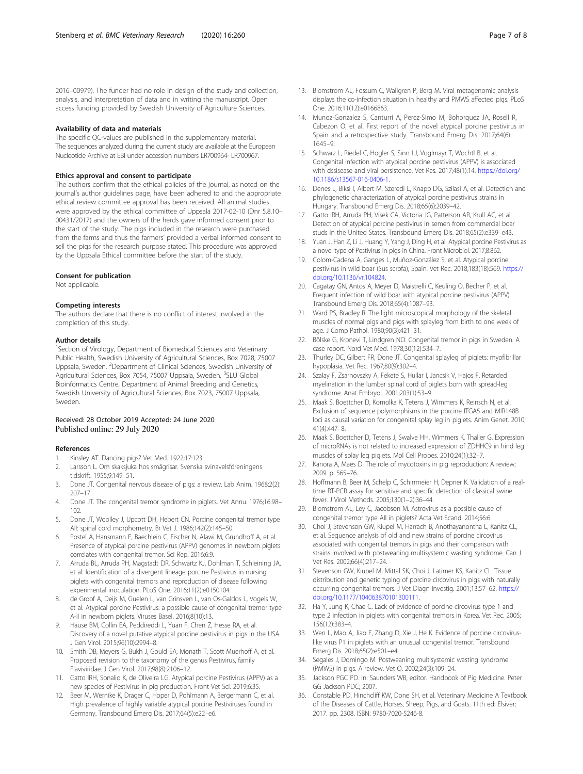<span id="page-6-0"></span>2016–00979). The funder had no role in design of the study and collection, analysis, and interpretation of data and in writing the manuscript. Open access funding provided by Swedish University of Agriculture Sciences.

#### Availability of data and materials

The specific QC-values are published in the supplementary material. The sequences analyzed during the current study are available at the European Nucleotide Archive at EBI under accession numbers LR700964- LR700967.

#### Ethics approval and consent to participate

The authors confirm that the ethical policies of the journal, as noted on the journal's author guidelines page, have been adhered to and the appropriate ethical review committee approval has been received. All animal studies were approved by the ethical committee of Uppsala 2017-02-10 (Dnr 5.8.10– 00431/2017) and the owners of the herds gave informed consent prior to the start of the study. The pigs included in the research were purchased from the farms and thus the farmers' provided a verbal informed consent to sell the pigs for the research purpose stated. This procedure was approved by the Uppsala Ethical committee before the start of the study.

#### Consent for publication

Not applicable.

#### Competing interests

The authors declare that there is no conflict of interest involved in the completion of this study.

#### Author details

<sup>1</sup>Section of Virology, Department of Biomedical Sciences and Veterinary Public Health, Swedish University of Agricultural Sciences, Box 7028, 75007 Uppsala, Sweden. <sup>2</sup>Department of Clinical Sciences, Swedish University of Agricultural Sciences, Box 7054, 75007 Uppsala, Sweden. <sup>3</sup>SLU Global Bioinformatics Centre, Department of Animal Breeding and Genetics, Swedish University of Agricultural Sciences, Box 7023, 75007 Uppsala, Sweden.

## Received: 28 October 2019 Accepted: 24 June 2020 Published online: 29 July 2020

#### References

- 1. Kinsley AT. Dancing pigs? Vet Med. 1922;17:123.
- 2. Larsson L. Om skaksjuka hos smågrisar. Svenska svinavelsföreningens tidskrift. 1955;9:149–51.
- 3. Done JT. Congenital nervous disease of pigs: a review. Lab Anim. 1968;2(2): 207–17.
- 4. Done JT. The congenital tremor syndrome in piglets. Vet Annu. 1976;16:98– 102.
- 5. Done JT, Woolley J, Upcott DH, Hebert CN. Porcine congenital tremor type AII: spinal cord morphometry. Br Vet J. 1986;142(2):145–50.
- 6. Postel A, Hansmann F, Baechlein C, Fischer N, Alawi M, Grundhoff A, et al. Presence of atypical porcine pestivirus (APPV) genomes in newborn piglets correlates with congenital tremor. Sci Rep. 2016;6:9.
- 7. Arruda BL, Arruda PH, Magstadt DR, Schwartz KJ, Dohlman T, Schleining JA, et al. Identification of a divergent lineage porcine Pestivirus in nursing piglets with congenital tremors and reproduction of disease following experimental inoculation. PLoS One. 2016;11(2):e0150104.
- de Groof A, Deijs M, Guelen L, van Grinsven L, van Os-Galdos L, Vogels W, et al. Atypical porcine Pestivirus: a possible cause of congenital tremor type A-II in newborn piglets. Viruses Basel. 2016;8(10):13.
- Hause BM, Collin EA, Peddireddi L, Yuan F, Chen Z, Hesse RA, et al. Discovery of a novel putative atypical porcine pestivirus in pigs in the USA. J Gen Virol. 2015;96(10):2994–8.
- 10. Smith DB, Meyers G, Bukh J, Gould EA, Monath T, Scott Muerhoff A, et al. Proposed revision to the taxonomy of the genus Pestivirus, family Flaviviridae. J Gen Virol. 2017;98(8):2106–12.
- 11. Gatto IRH, Sonalio K, de Oliveira LG. Atypical porcine Pestivirus (APPV) as a new species of Pestivirus in pig production. Front Vet Sci. 2019;6:35.
- 12. Beer M, Wernike K, Drager C, Hoper D, Pohlmann A, Bergermann C, et al. High prevalence of highly variable atypical porcine Pestiviruses found in Germany. Transbound Emerg Dis. 2017;64(5):e22–e6.
- 13. Blomstrom AL, Fossum C, Wallgren P, Berg M. Viral metagenomic analysis displays the co-infection situation in healthy and PMWS affected pigs. PLoS One. 2016;11(12):e0166863.
- 14. Munoz-Gonzalez S, Canturri A, Perez-Simo M, Bohorquez JA, Rosell R, Cabezon O, et al. First report of the novel atypical porcine pestivirus in Spain and a retrospective study. Transbound Emerg Dis. 2017;64(6): 1645–9.
- 15. Schwarz L, Riedel C, Hogler S, Sinn LJ, Voglmayr T, Wochtl B, et al. Congenital infection with atypical porcine pestivirus (APPV) is associated with dssisease and viral persistence. Vet Res. 2017;48(1):14. [https://doi.org/](https://doi.org/10.1186/s13567-016-0406-1) [10.1186/s13567-016-0406-1](https://doi.org/10.1186/s13567-016-0406-1).
- 16. Denes L, Biksi I, Albert M, Szeredi L, Knapp DG, Szilasi A, et al. Detection and phylogenetic characterization of atypical porcine pestivirus strains in Hungary. Transbound Emerg Dis. 2018;65(6):2039–42.
- 17. Gatto IRH, Arruda PH, Visek CA, Victoria JG, Patterson AR, Krull AC, et al. Detection of atypical porcine pestivirus in semen from commercial boar studs in the United States. Transbound Emerg Dis. 2018;65(2):e339–e43.
- 18. Yuan J, Han Z, Li J, Huang Y, Yang J, Ding H, et al. Atypical porcine Pestivirus as a novel type of Pestivirus in pigs in China. Front Microbiol. 2017;8:862.
- 19. Colom-Cadena A, Ganges L, Muñoz-González S, et al. Atypical porcine pestivirus in wild boar (Sus scrofa), Spain. Vet Rec. 2018;183(18):569. [https://](https://doi.org/10.1136/vr.104824) [doi.org/10.1136/vr.104824](https://doi.org/10.1136/vr.104824).
- 20. Cagatay GN, Antos A, Meyer D, Maistrelli C, Keuling O, Becher P, et al. Frequent infection of wild boar with atypical porcine pestivirus (APPV). Transbound Emerg Dis. 2018;65(4):1087–93.
- 21. Ward PS, Bradley R. The light microscopical morphology of the skeletal muscles of normal pigs and pigs with splayleg from birth to one week of age. J Comp Pathol. 1980;90(3):421–31.
- 22. Bölske G, Kronevi T, Lindgren NO. Congenital tremor in pigs in Sweden. A case report. Nord Vet Med. 1978;30(12):534–7.
- 23. Thurley DC, Gilbert FR, Done JT. Congenital splayleg of piglets: myofibrillar hypoplasia. Vet Rec. 1967;80(9):302–4.
- 24. Szalay F, Zsarnovszky A, Fekete S, Hullar I, Jancsik V, Hajos F. Retarded myelination in the lumbar spinal cord of piglets born with spread-leg syndrome. Anat Embryol. 2001;203(1):53–9.
- 25. Maak S, Boettcher D, Komolka K, Tetens J, Wimmers K, Reinsch N, et al. Exclusion of sequence polymorphisms in the porcine ITGA5 and MIR148B loci as causal variation for congenital splay leg in piglets. Anim Genet. 2010; 41(4):447–8.
- 26. Maak S, Boettcher D, Tetens J, Swalve HH, Wimmers K, Thaller G. Expression of microRNAs is not related to increased expression of ZDHHC9 in hind leg muscles of splay leg piglets. Mol Cell Probes. 2010;24(1):32–7.
- 27. Kanora A, Maes D. The role of mycotoxins in pig reproduction: A review; 2009. p. 565–76.
- 28. Hoffmann B, Beer M, Schelp C, Schirrmeier H, Depner K. Validation of a realtime RT-PCR assay for sensitive and specific detection of classical swine fever. J Virol Methods. 2005;130(1–2):36–44.
- 29. Blomstrom AL, Ley C, Jacobson M. Astrovirus as a possible cause of congenital tremor type AII in piglets? Acta Vet Scand. 2014;56:6.
- 30. Choi J, Stevenson GW, Kiupel M, Harrach B, Anothayanontha L, Kanitz CL, et al. Sequence analysis of old and new strains of porcine circovirus associated with congenital tremors in pigs and their comparison with strains involved with postweaning multisystemic wasting syndrome. Can J Vet Res. 2002;66(4):217–24.
- 31. Stevenson GW, Kiupel M, Mittal SK, Choi J, Latimer KS, Kanitz CL. Tissue distribution and genetic typing of porcine circovirus in pigs with naturally occurring congenital tremors. J Vet Diagn Investig. 2001;13:57–62. [https://](https://doi.org/10.1177/104063870101300111) [doi.org/10.1177/104063870101300111.](https://doi.org/10.1177/104063870101300111)
- 32. Ha Y, Jung K, Chae C. Lack of evidence of porcine circovirus type 1 and type 2 infection in piglets with congenital tremors in Korea. Vet Rec. 2005; 156(12):383–4.
- 33. Wen L, Mao A, Jiao F, Zhang D, Xie J, He K. Evidence of porcine circoviruslike virus P1 in piglets with an unusual congenital tremor. Transbound Emerg Dis. 2018;65(2):e501–e4.
- 34. Segales J, Domingo M. Postweaning multisystemic wasting syndrome (PMWS) in pigs. A review. Vet Q. 2002;24(3):109–24.
- 35. Jackson PGC PD. In: Saunders WB, editor. Handbook of Pig Medicine. Peter GG Jackson PDC; 2007.
- 36. Constable PD, Hinchcliff KW, Done SH, et al. Veterinary Medicine A Textbook of the Diseases of Cattle, Horses, Sheep, Pigs, and Goats. 11th ed: Elsiver; 2017. pp. 2308. ISBN: 9780-7020-5246-8.